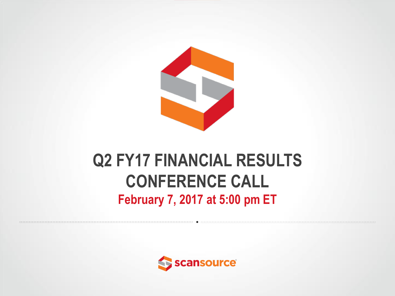

### **Q2 FY17 FINANCIAL RESULTS CONFERENCE CALL February 7, 2017 at 5:00 pm ET**

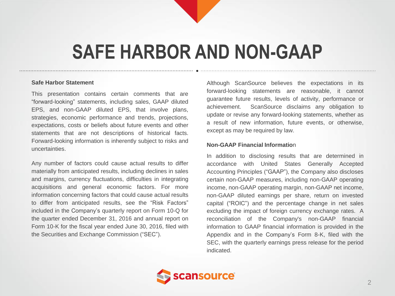## **SAFE HARBOR AND NON-GAAP**

#### **Safe Harbor Statement**

This presentation contains certain comments that are "forward-looking" statements, including sales, GAAP diluted EPS, and non-GAAP diluted EPS, that involve plans, strategies, economic performance and trends, projections, expectations, costs or beliefs about future events and other statements that are not descriptions of historical facts. Forward-looking information is inherently subject to risks and uncertainties.

Any number of factors could cause actual results to differ materially from anticipated results, including declines in sales and margins, currency fluctuations, difficulties in integrating acquisitions and general economic factors. For more information concerning factors that could cause actual results to differ from anticipated results, see the "Risk Factors" included in the Company's quarterly report on Form 10-Q for the quarter ended December 31, 2016 and annual report on Form 10-K for the fiscal year ended June 30, 2016, filed with the Securities and Exchange Commission ("SEC").

Although ScanSource believes the expectations in its forward-looking statements are reasonable, it cannot guarantee future results, levels of activity, performance or achievement. ScanSource disclaims any obligation to update or revise any forward-looking statements, whether as a result of new information, future events, or otherwise, except as may be required by law.

#### **Non-GAAP Financial Informatio**n

In addition to disclosing results that are determined in accordance with United States Generally Accepted Accounting Principles ("GAAP"), the Company also discloses certain non-GAAP measures, including non-GAAP operating income, non-GAAP operating margin, non-GAAP net income, non-GAAP diluted earnings per share, return on invested capital ("ROIC") and the percentage change in net sales excluding the impact of foreign currency exchange rates. A reconciliation of the Company's non-GAAP financial information to GAAP financial information is provided in the Appendix and in the Company's Form 8-K, filed with the SEC, with the quarterly earnings press release for the period indicated.

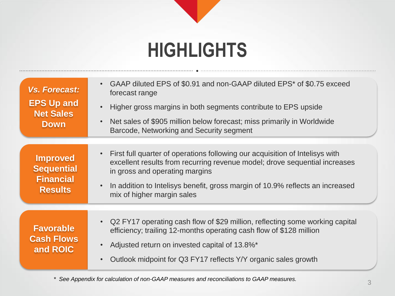## **HIGHLIGHTS**

| Vs. Forecast:<br><b>EPS Up and</b><br><b>Net Sales</b><br><b>Down</b>      | • GAAP diluted EPS of \$0.91 and non-GAAP diluted EPS* of \$0.75 exceed<br>forecast range<br>Higher gross margins in both segments contribute to EPS upside<br>• Net sales of \$905 million below forecast; miss primarily in Worldwide<br>Barcode, Networking and Security segment                                      |
|----------------------------------------------------------------------------|--------------------------------------------------------------------------------------------------------------------------------------------------------------------------------------------------------------------------------------------------------------------------------------------------------------------------|
| <b>Improved</b><br><b>Sequential</b><br><b>Financial</b><br><b>Results</b> | First full quarter of operations following our acquisition of Intelisys with<br>excellent results from recurring revenue model; drove sequential increases<br>in gross and operating margins<br>In addition to Intelisys benefit, gross margin of 10.9% reflects an increased<br>$\bullet$<br>mix of higher margin sales |
| <b>Favorable</b><br><b>Cash Flows</b><br>and ROIC                          | • Q2 FY17 operating cash flow of \$29 million, reflecting some working capital<br>efficiency; trailing 12-months operating cash flow of \$128 million<br>Adjusted return on invested capital of 13.8%*                                                                                                                   |
|                                                                            | Outlook midpoint for Q3 FY17 reflects Y/Y organic sales growth                                                                                                                                                                                                                                                           |

*\* See Appendix for calculation of non-GAAP measures and reconciliations to GAAP measures.*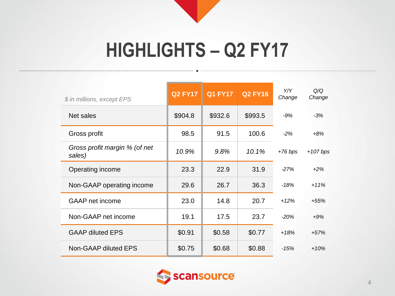## **HIGHLIGHTS – Q2 FY17**

| \$ in millions, except EPS              | <b>Q2 FY17</b> | <b>Q1 FY17</b> | <b>Q2 FY16</b> | Y/Y<br>Change | O/O<br>Change |
|-----------------------------------------|----------------|----------------|----------------|---------------|---------------|
| Net sales                               | \$904.8        | \$932.6        | \$993.5        | $-9%$         | $-3%$         |
| Gross profit                            | 98.5           | 91.5           | 100.6          | $-2%$         | $+8%$         |
| Gross profit margin % (of net<br>sales) | 10.9%          | 9.8%           | 10.1%          | $+76 bps$     | $+107$ bps    |
| Operating income                        | 23.3           | 22.9           | 31.9           | $-27%$        | $+2%$         |
| Non-GAAP operating income               | 29.6           | 26.7           | 36.3           | -18%          | $+11%$        |
| <b>GAAP</b> net income                  | 23.0           | 14.8           | 20.7           | $+12%$        | $+55%$        |
| Non-GAAP net income                     | 19.1           | 17.5           | 23.7           | $-20%$        | $+9%$         |
| <b>GAAP diluted EPS</b>                 | \$0.91         | \$0.58         | \$0.77         | $+18%$        | $+57%$        |
| Non-GAAP diluted EPS                    | \$0.75         | \$0.68         | \$0.88         | $-15%$        | $+10%$        |

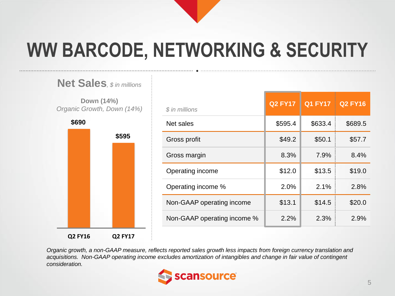# **WW BARCODE, NETWORKING & SECURITY**



| \$ in millions              | <b>Q2 FY17</b> | <b>Q1 FY17</b> | <b>Q2 FY16</b> |
|-----------------------------|----------------|----------------|----------------|
| Net sales                   | \$595.4        | \$633.4        | \$689.5        |
| Gross profit                | \$49.2         | \$50.1         | \$57.7         |
| Gross margin                | 8.3%           | 7.9%           | 8.4%           |
| Operating income            | \$12.0         | \$13.5         | \$19.0         |
| Operating income %          | 2.0%           | 2.1%           | 2.8%           |
| Non-GAAP operating income   | \$13.1         | \$14.5         | \$20.0         |
| Non-GAAP operating income % | 2.2%           | 2.3%           | 2.9%           |

*Organic growth, a non-GAAP measure, reflects reported sales growth less impacts from foreign currency translation and acquisitions. Non-GAAP operating income excludes amortization of intangibles and change in fair value of contingent consideration.*

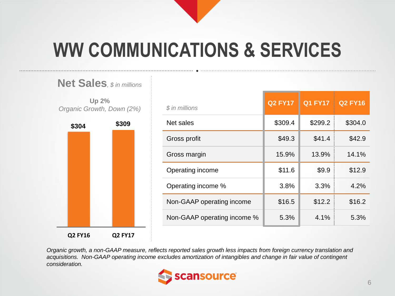# **WW COMMUNICATIONS & SERVICES**



| \$ in millions              | <b>Q2 FY17</b> | <b>Q1 FY17</b> | <b>Q2 FY16</b> |
|-----------------------------|----------------|----------------|----------------|
| Net sales                   | \$309.4        | \$299.2        | \$304.0        |
| Gross profit                | \$49.3         | \$41.4         | \$42.9         |
| Gross margin                | 15.9%          | 13.9%          | 14.1%          |
| Operating income            | \$11.6         | \$9.9          | \$12.9         |
| Operating income %          | 3.8%           | 3.3%           | 4.2%           |
| Non-GAAP operating income   | \$16.5         | \$12.2         | \$16.2         |
| Non-GAAP operating income % | 5.3%           | 4.1%           | 5.3%           |

*Organic growth, a non-GAAP measure, reflects reported sales growth less impacts from foreign currency translation and acquisitions. Non-GAAP operating income excludes amortization of intangibles and change in fair value of contingent consideration.* 

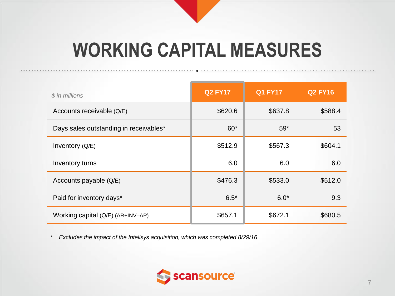# **WORKING CAPITAL MEASURES**

| \$ in millions                         | <b>Q2 FY17</b> | <b>Q1 FY17</b> | <b>Q2 FY16</b> |
|----------------------------------------|----------------|----------------|----------------|
| Accounts receivable (Q/E)              | \$620.6        | \$637.8        | \$588.4        |
| Days sales outstanding in receivables* | $60*$          | $59*$          | 53             |
| Inventory (Q/E)                        | \$512.9        | \$567.3        | \$604.1        |
| Inventory turns                        | 6.0            | 6.0            | 6.0            |
| Accounts payable (Q/E)                 | \$476.3        | \$533.0        | \$512.0        |
| Paid for inventory days*               | $6.5*$         | $6.0*$         | 9.3            |
| Working capital (Q/E) (AR+INV-AP)      | \$657.1        | \$672.1        | \$680.5        |

*\* Excludes the impact of the Intelisys acquisition, which was completed 8/29/16*

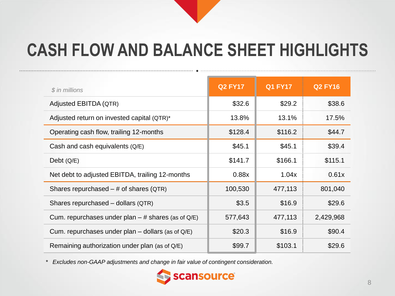## **CASH FLOW AND BALANCE SHEET HIGHLIGHTS**

| $$$ in millions                                      | <b>Q2 FY17</b> | <b>Q1 FY17</b> | <b>Q2 FY16</b> |
|------------------------------------------------------|----------------|----------------|----------------|
| Adjusted EBITDA (QTR)                                | \$32.6         | \$29.2         | \$38.6         |
| Adjusted return on invested capital (QTR)*           | 13.8%          | 13.1%          | 17.5%          |
| Operating cash flow, trailing 12-months              | \$128.4        | \$116.2        | \$44.7         |
| Cash and cash equivalents (Q/E)                      | \$45.1         | \$45.1         | \$39.4         |
| Debt $(Q/E)$                                         | \$141.7        | \$166.1        | \$115.1        |
| Net debt to adjusted EBITDA, trailing 12-months      | 0.88x          | 1.04x          | 0.61x          |
| Shares repurchased $-$ # of shares (QTR)             | 100,530        | 477,113        | 801,040        |
| Shares repurchased - dollars (QTR)                   | \$3.5          | \$16.9         | \$29.6         |
| Cum. repurchases under plan $-$ # shares (as of Q/E) | 577,643        | 477,113        | 2,429,968      |
| Cum. repurchases under plan - dollars (as of Q/E)    | \$20.3         | \$16.9         | \$90.4         |
| Remaining authorization under plan (as of Q/E)       | \$99.7         | \$103.1        | \$29.6         |

*\* Excludes non-GAAP adjustments and change in fair value of contingent consideration.*

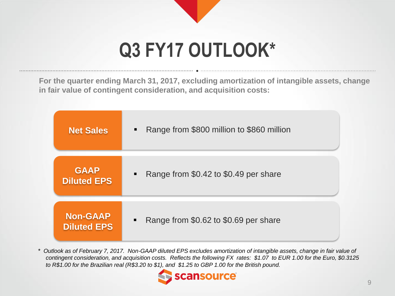# **Q3 FY17 OUTLOOK\***

**For the quarter ending March 31, 2017, excluding amortization of intangible assets, change in fair value of contingent consideration, and acquisition costs:**

| <b>Net Sales</b>   | Range from \$800 million to \$860 million<br>$\blacksquare$ |
|--------------------|-------------------------------------------------------------|
| <b>GAAP</b>        | Range from \$0.42 to \$0.49 per share                       |
| <b>Diluted EPS</b> | ٠                                                           |
| Non-GAAP           | Range from \$0.62 to \$0.69 per share                       |
| <b>Diluted EPS</b> | $\blacksquare$                                              |

*\* Outlook as of February 7, 2017. Non-GAAP diluted EPS excludes amortization of intangible assets, change in fair value of contingent consideration, and acquisition costs. Reflects the following FX rates: \$1.07 to EUR 1.00 for the Euro, \$0.3125 to R\$1.00 for the Brazilian real (R\$3.20 to \$1), and \$1.25 to GBP 1.00 for the British pound.*

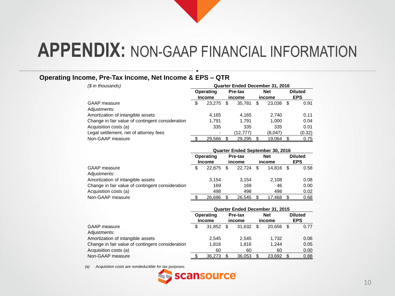#### **Operating Income, Pre-Tax Income, Net Income & EPS – QTR**

| (\$ in thousands)                                | Quarter Ended December 31, 2016 |                            |   |                          |   |                      |    |                              |
|--------------------------------------------------|---------------------------------|----------------------------|---|--------------------------|---|----------------------|----|------------------------------|
|                                                  |                                 | Operating<br><b>Income</b> |   | <b>Pre-tax</b><br>income |   | <b>Net</b><br>income |    | <b>Diluted</b><br><b>EPS</b> |
| GAAP measure                                     | \$                              | 23.275                     | S | 35.781                   | S | 23.036               | \$ | 0.91                         |
| Adjustments:                                     |                                 |                            |   |                          |   |                      |    |                              |
| Amortization of intangible assets                |                                 | 4.165                      |   | 4.165                    |   | 2.740                |    | 0.11                         |
| Change in fair value of contingent consideration |                                 | 1.791                      |   | 1.791                    |   | 1.000                |    | 0.04                         |
| Acquisition costs (a)                            |                                 | 335                        |   | 335                      |   | 335                  |    | 0.01                         |
| Legal settlement, net of attorney fees           |                                 | ٠                          |   | (12.777)                 |   | (8.047)              |    | (0.32)                       |
| Non-GAAP measure                                 | ≏                               | 29,566                     |   | 29,295                   |   | 19,064               |    | 0.75                         |

|                                                  | Quarter Ended September 30, 2016 |                            |    |                   |     |                      |    |                              |  |
|--------------------------------------------------|----------------------------------|----------------------------|----|-------------------|-----|----------------------|----|------------------------------|--|
|                                                  |                                  | Operating<br><b>Income</b> |    | Pre-tax<br>income |     | <b>Net</b><br>income |    | <b>Diluted</b><br><b>EPS</b> |  |
| GAAP measure                                     | \$                               | 22,875                     | \$ | 22.724            | \$. | 14.816               | -S | 0.58                         |  |
| Adjustments:                                     |                                  |                            |    |                   |     |                      |    |                              |  |
| Amortization of intangible assets                |                                  | 3.154                      |    | 3.154             |     | 2.108                |    | 0.08                         |  |
| Change in fair value of contingent consideration |                                  | 169                        |    | 169               |     | 46                   |    | 0.00                         |  |
| Acquisition costs (a)                            |                                  | 498                        |    | 498               |     | 498                  |    | 0.02                         |  |
| Non-GAAP measure                                 |                                  | 26.696                     |    | 26.545            |     | 17.468               |    | 0.68                         |  |

|                                                  | <b>Quarter Ended December 31, 2015</b> |        |                   |        |               |        |                              |      |  |  |
|--------------------------------------------------|----------------------------------------|--------|-------------------|--------|---------------|--------|------------------------------|------|--|--|
|                                                  | Operating<br><b>Income</b>             |        | Pre-tax<br>income |        | Net<br>income |        | <b>Diluted</b><br><b>EPS</b> |      |  |  |
| <b>GAAP</b> measure                              | \$                                     | 31.852 | \$.               | 31.632 | \$.           | 20.656 | \$.                          | 0.77 |  |  |
| Adjustments:                                     |                                        |        |                   |        |               |        |                              |      |  |  |
| Amortization of intangible assets                |                                        | 2.545  |                   | 2.545  |               | 1.732  |                              | 0.06 |  |  |
| Change in fair value of contingent consideration |                                        | 1.816  |                   | 1.816  |               | 1.244  |                              | 0.05 |  |  |
| Acquisition costs (a)                            |                                        | 60     |                   | 60     |               | 60     |                              | 0.00 |  |  |
| Non-GAAP measure                                 |                                        | 36,273 |                   | 36,053 |               | 23,692 |                              | 0.88 |  |  |

*(a) Acquisition costs are nondeductible for tax purposes.*

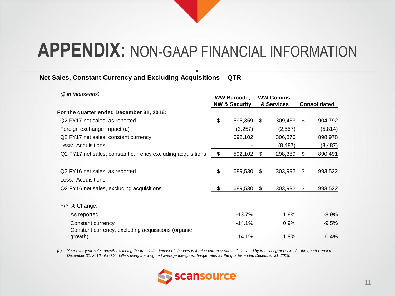$\bullet$  . The contribution of the contribution of the contribution of  $\bullet$  . The contribution of the contribution of the contribution of the contribution of the contribution of the contribution of the contribution of the con

#### **Net Sales, Constant Currency and Excluding Acquisitions – QTR**

| (\$ in thousands)                                                       |            | <b>WW Barcode,</b><br><b>NW &amp; Security</b> | <b>WW Comms.</b><br>& Services | <b>Consolidated</b> |          |  |
|-------------------------------------------------------------------------|------------|------------------------------------------------|--------------------------------|---------------------|----------|--|
| For the quarter ended December 31, 2016:                                |            |                                                |                                |                     |          |  |
| Q2 FY17 net sales, as reported                                          | \$         | 595,359                                        | \$<br>309,433                  | \$.                 | 904,792  |  |
| Foreign exchange impact (a)                                             |            | (3,257)                                        | (2, 557)                       |                     | (5, 814) |  |
| Q2 FY17 net sales, constant currency                                    |            | 592,102                                        | 306,876                        |                     | 898,978  |  |
| Less: Acquisitions                                                      |            |                                                | (8, 487)                       |                     | (8, 487) |  |
| Q2 FY17 net sales, constant currency excluding acquisitions             | $\sqrt{3}$ | 592,102                                        | \$<br>298,389                  | \$.                 | 890,491  |  |
|                                                                         |            |                                                |                                |                     |          |  |
| Q2 FY16 net sales, as reported                                          | \$         | 689,530                                        | \$<br>303,992                  | \$.                 | 993,522  |  |
| Less: Acquisitions                                                      |            |                                                |                                |                     |          |  |
| Q2 FY16 net sales, excluding acquisitions                               | -\$        | 689,530                                        | \$<br>303,992                  | \$                  | 993,522  |  |
| Y/Y % Change:                                                           |            |                                                |                                |                     |          |  |
| As reported                                                             |            | $-13.7%$                                       | 1.8%                           |                     | $-8.9\%$ |  |
| Constant currency<br>Constant currency, excluding acquisitions (organic |            | $-14.1%$                                       | 0.9%                           |                     | $-9.5%$  |  |
| growth)                                                                 |            | $-14.1%$                                       | $-1.8%$                        |                     | $-10.4%$ |  |

*(a) Year-over-year sales growth excluding the translation impact of changes in foreign currency rates. Calculated by translating net sales for the quarter ended December 31, 2016 into U.S. dollars using the weighted average foreign exchange rates for the quarter ended December 31, 2015.*

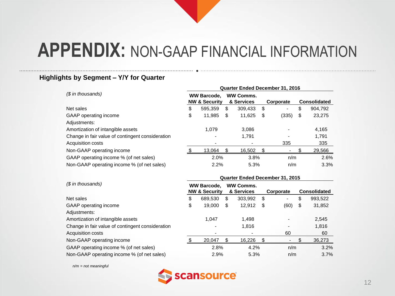### **Highlights by Segment – Y/Y for Quarter**

|                                                  | Quarter Ended December 31, 2016 |                                                |   |                                |    |           |    |                     |  |
|--------------------------------------------------|---------------------------------|------------------------------------------------|---|--------------------------------|----|-----------|----|---------------------|--|
| (\$ in thousands)                                |                                 | <b>WW Barcode,</b><br><b>NW &amp; Security</b> |   | <b>WW Comms.</b><br>& Services |    | Corporate |    | <b>Consolidated</b> |  |
| Net sales                                        | \$                              | 595,359                                        | S | 309.433                        | \$ |           | \$ | 904,792             |  |
| GAAP operating income                            | \$                              | 11,985                                         | S | 11,625                         | S  | (335)     | \$ | 23,275              |  |
| Adjustments:                                     |                                 |                                                |   |                                |    |           |    |                     |  |
| Amortization of intangible assets                |                                 | 1.079                                          |   | 3.086                          |    |           |    | 4,165               |  |
| Change in fair value of contingent consideration |                                 |                                                |   | 1,791                          |    |           |    | 1,791               |  |
| Acquisition costs                                |                                 |                                                |   |                                |    | 335       |    | 335                 |  |
| Non-GAAP operating income                        |                                 | 13.064                                         |   | 16,502                         |    |           |    | 29,566              |  |
| GAAP operating income % (of net sales)           |                                 | 2.0%                                           |   | 3.8%                           |    | n/m       |    | 2.6%                |  |
| Non-GAAP operating income % (of net sales)       |                                 | 2.2%                                           |   | 5.3%                           |    | n/m       |    | 3.3%                |  |

|                                                  |      | Quarter Ended December 31, 2015                |   |                                |    |                |    |                     |  |  |  |  |
|--------------------------------------------------|------|------------------------------------------------|---|--------------------------------|----|----------------|----|---------------------|--|--|--|--|
| (\$ in thousands)                                |      | <b>WW Barcode.</b><br><b>NW &amp; Security</b> |   | <b>WW Comms.</b><br>& Services |    | Corporate      |    | <b>Consolidated</b> |  |  |  |  |
| Net sales                                        | \$   | 689,530                                        | S | 303,992                        | \$ | $\overline{a}$ | \$ | 993,522             |  |  |  |  |
| GAAP operating income                            | \$   | 19.000                                         | S | 12,912                         | S  | (60)           | \$ | 31,852              |  |  |  |  |
| Adjustments:                                     |      |                                                |   |                                |    |                |    |                     |  |  |  |  |
| Amortization of intangible assets                |      | 1.047                                          |   | 1,498                          |    |                |    | 2,545               |  |  |  |  |
| Change in fair value of contingent consideration |      |                                                |   | 1,816                          |    |                |    | 1,816               |  |  |  |  |
| Acquisition costs                                |      |                                                |   | $\overline{\phantom{a}}$       |    | 60             |    | 60                  |  |  |  |  |
| Non-GAAP operating income                        |      | 20,047                                         |   | 16,226                         |    |                |    | 36,273              |  |  |  |  |
| GAAP operating income % (of net sales)           | 2.8% |                                                |   | 4.2%                           |    | n/m            |    | 3.2%                |  |  |  |  |
| Non-GAAP operating income % (of net sales)       |      | 2.9%                                           |   | 5.3%                           |    | n/m            |    | 3.7%                |  |  |  |  |

**Quarter Ended December 31, 2015**

*n/m = not meaningful*

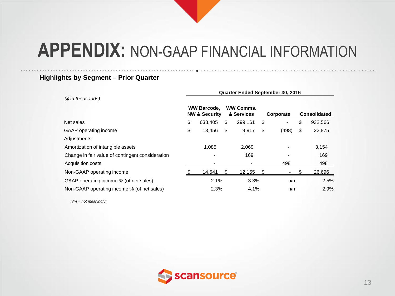#### **Highlights by Segment – Prior Quarter**

**Quarter Ended September 30, 2016** *(\$ in thousands)* **WW Barcode, NW & Security WW Comms. & Services Corporate Consolidated** Net sales \$ 633,405 \$ 299,161 \$ - \$ 932,566 GAAP operating income  $\begin{array}{ccccccccccccc}\n60 & 13,456 & 43,456 & 9,917 & 498 & 62,875\n\end{array}$ Adjustments: Amortization of intangible assets 1,085 2,069 - 3,154 Change in fair value of contingent consideration **169** - 169 - 169 Acquisition costs and the set of the set of the set of the set of the set of the set of the set of the set of the set of the set of the set of the set of the set of the set of the set of the set of the set of the set of th Non-GAAP operating income  $\qquad \qquad$  \$ 14,541 \$ 12,155 \$ - \$ 26,696 GAAP operating income % (of net sales) 2.1% 3.3% n/m 2.5% 2.5% Non-GAAP operating income % (of net sales)  $2.3\%$   $4.1\%$  n/m  $2.9\%$ 

*n/m = not meaningful*

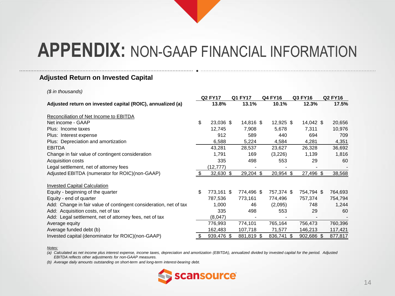#### **Adjusted Return on Invested Capital**

#### *(\$ in thousands)*

|                                                                   |    | <b>Q2 FY17</b> |  | Q1 FY17     |  | Q4 FY16     |  | Q3 FY16    |  | <b>Q2 FY16</b> |  |
|-------------------------------------------------------------------|----|----------------|--|-------------|--|-------------|--|------------|--|----------------|--|
| Adjusted return on invested capital (ROIC), annualized (a)        |    | 13.8%          |  | 13.1%       |  | 10.1%       |  | 12.3%      |  | 17.5%          |  |
| Reconciliation of Net Income to EBITDA                            |    |                |  |             |  |             |  |            |  |                |  |
| Net income - GAAP                                                 | \$ | 23,036 \$      |  | 14,816 \$   |  | 12,925 \$   |  | 14,042 \$  |  | 20,656         |  |
| Plus: Income taxes                                                |    | 12,745         |  | 7,908       |  | 5,678       |  | 7,311      |  | 10,976         |  |
| Plus: Interest expense                                            |    | 912            |  | 589         |  | 440         |  | 694        |  | 709            |  |
| Plus: Depreciation and amortization                               |    | 6,588          |  | 5,224       |  | 4,584       |  | 4,281      |  | 4,351          |  |
| <b>EBITDA</b>                                                     |    | 43,281         |  | 28,537      |  | 23,627      |  | 26,328     |  | 36,692         |  |
| Change in fair value of contingent consideration                  |    | 1,791          |  | 169         |  | (3,226)     |  | 1,139      |  | 1,816          |  |
| Acquisition costs                                                 |    | 335            |  | 498         |  | 553         |  | 29         |  | 60             |  |
| Legal settlement, net of attorney fees                            |    | (12, 777)      |  |             |  |             |  |            |  |                |  |
| Adjusted EBITDA (numerator for ROIC)(non-GAAP)                    |    | $32,630$ \$    |  | $29,204$ \$ |  | $20,954$ \$ |  | 27,496 \$  |  | 38,568         |  |
| <b>Invested Capital Calculation</b>                               |    |                |  |             |  |             |  |            |  |                |  |
| Equity - beginning of the quarter                                 | \$ | 773,161 \$     |  | 774,496 \$  |  | 757,374 \$  |  | 754,794 \$ |  | 764,693        |  |
| Equity - end of quarter                                           |    | 787,536        |  | 773,161     |  | 774,496     |  | 757,374    |  | 754,794        |  |
| Add: Change in fair value of contingent consideration, net of tax |    | 1,000          |  | 46          |  | (2,095)     |  | 748        |  | 1,244          |  |
| Add: Acquisition costs, net of tax                                |    | 335            |  | 498         |  | 553         |  | 29         |  | 60             |  |
| Add: Legal settlement, net of attorney fees, net of tax           |    | (8,047)        |  |             |  |             |  |            |  |                |  |
| Average equity                                                    |    | 776,993        |  | 774,101     |  | 765,164     |  | 756,473    |  | 760,396        |  |
| Average funded debt (b)                                           |    | 162,483        |  | 107,718     |  | 71,577      |  | 146,213    |  | 117,421        |  |
| Invested capital (denominator for ROIC)(non-GAAP)                 | S. | 939,476 \$     |  | 881,819 \$  |  | 836,741 \$  |  | 902,686 \$ |  | 877,817        |  |

#### *Notes:*

*(a) Calculated as net income plus interest expense, income taxes, depreciation and amortization (EBITDA), annualized divided by invested capital for the period. Adjusted EBITDA reflects other adjustments for non-GAAP measures.*

*(b) Average daily amounts outstanding on short-term and long-term interest-bearing debt.*